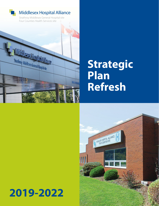

# **Strategic Plan Refresh**



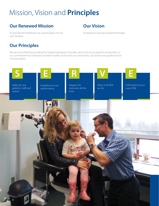## Mission, Vision and **Principles**

## **Our Renewed Mission**

## **Our Vision**

To provide the healthcare we would expect for our own families.

Exceptional Care by Exceptional People

## **Our Principles**

We are committed to providing the highest standards of quality care to all of our patients and families. In our commitment to champion excellent health services for our community, our actions are guided by five core principles:

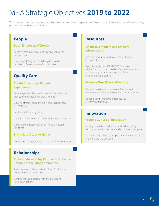## MHA Strategic Objectives **2019 to 2022**

This document outlines the proposed objectives and associated targets across of each of the pillars within the refreshed strategic plan for Middlesex Hospital Alliance.

## **People**

#### **Be an Employer of Choice**

Improve staff (employees, physicians, volunteer) engagement

Develop a strategy and roadmap to provide Leadership Development Opportunities

## **Quality Care**

#### **Create Exceptional Patient Experiences**

Improve patient flow, communication and service quality in the Emergency Departments

Create a streamlined admission process between the MHA sites

Implement Choosing Wisely

Create an MHA Patient and Family Advisory Committee

Continue to implement Senior Friendly Hospital Initiatives

#### **Bring Care Closer to Home**

Continue implementation of the Clinical Services Plan

### **Relationships**

#### **Collaborate with Key Partners to Enhance Services in the MHA Community**

Participate in an Ontario Health Team for the MHA population catchment area

Continue to work closely with the SMGH and FCHS Foundations

### **Resources**

#### **Establish a Modern and Efficient Infrastructure**

Develop long-range redevelopment strategies for both sites

Optimize available HIRF, HIRF-ECP or other capital funding to improve building infrastructure and building systems, and reduce MHA's environmental footprint

#### **Secure a Firm Financial Footing**

Develop working capital reserve fund equal to two months of total spend over a 10-year horizon

Adopt a comprehensive enterprise risk assessment framework

## **Innovation**

#### **Foster a Culture of Innovation**

Identify innovative partnerships that directly align with our strategic directions and clinical services plan

Utilize evidence-based best practices to improve care and measure the outcomes

**3**